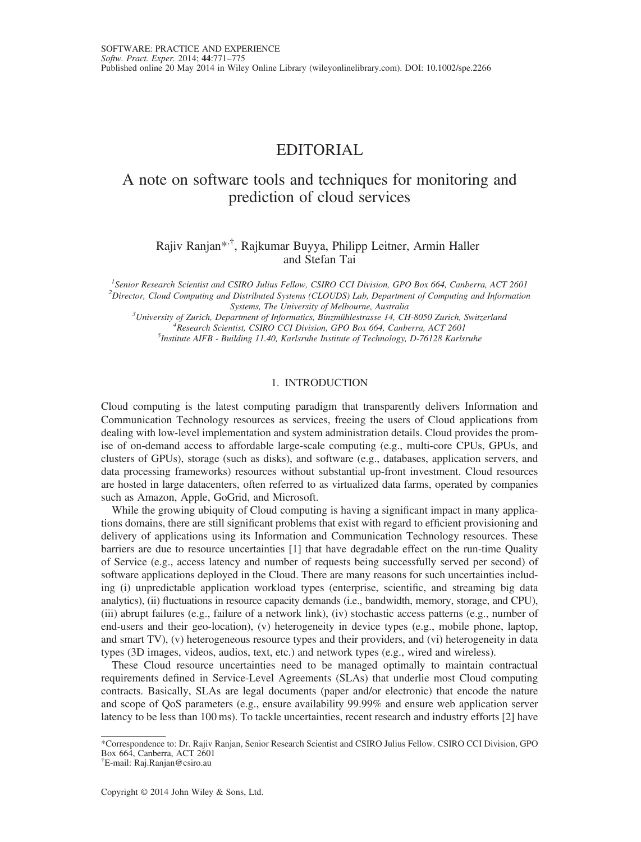## EDITORIAL

# A note on software tools and techniques for monitoring and prediction of cloud services

Rajiv Ranjan\*,† , Rajkumar Buyya, Philipp Leitner, Armin Haller and Stefan Tai

<sup>1</sup> Senior Research Scientist and CSIRO Julius Fellow, CSIRO CCI Division, GPO Box 664, Canberra, ACT 2601 <sup>2</sup>Director, Cloud Computing and Distributed Systems (CLOUDS) Lab, Department of Computing and Information

Systems, The University of Melbourne, Australia<br><sup>3</sup>University of Zurich, Department of Informatics, Binzmühlestrasse 14, CE University of Zurich, Department of Informatics, Binzmühlestrasse 14, CH-8050 Zurich, Switzerland <sup>4</sup> <sup>4</sup>Research Scientist, CSIRO CCI Division, GPO Box 664, Canberra, ACT 2601  $<sup>5</sup>$ Institute AIFB - Building 11.40, Karlsruhe Institute of Technology, D-76128 Karlsruhe</sup>

## 1. INTRODUCTION

Cloud computing is the latest computing paradigm that transparently delivers Information and Communication Technology resources as services, freeing the users of Cloud applications from dealing with low-level implementation and system administration details. Cloud provides the promise of on-demand access to affordable large-scale computing (e.g., multi-core CPUs, GPUs, and clusters of GPUs), storage (such as disks), and software (e.g., databases, application servers, and data processing frameworks) resources without substantial up-front investment. Cloud resources are hosted in large datacenters, often referred to as virtualized data farms, operated by companies such as Amazon, Apple, GoGrid, and Microsoft.

While the growing ubiquity of Cloud computing is having a significant impact in many applications domains, there are still significant problems that exist with regard to efficient provisioning and delivery of applications using its Information and Communication Technology resources. These barriers are due to resource uncertainties [1] that have degradable effect on the run-time Quality of Service (e.g., access latency and number of requests being successfully served per second) of software applications deployed in the Cloud. There are many reasons for such uncertainties including (i) unpredictable application workload types (enterprise, scientific, and streaming big data analytics), (ii) fluctuations in resource capacity demands (i.e., bandwidth, memory, storage, and CPU), (iii) abrupt failures (e.g., failure of a network link), (iv) stochastic access patterns (e.g., number of end-users and their geo-location), (v) heterogeneity in device types (e.g., mobile phone, laptop, and smart TV), (v) heterogeneous resource types and their providers, and (vi) heterogeneity in data types (3D images, videos, audios, text, etc.) and network types (e.g., wired and wireless).

These Cloud resource uncertainties need to be managed optimally to maintain contractual requirements defined in Service-Level Agreements (SLAs) that underlie most Cloud computing contracts. Basically, SLAs are legal documents (paper and/or electronic) that encode the nature and scope of QoS parameters (e.g., ensure availability 99.99% and ensure web application server latency to be less than 100 ms). To tackle uncertainties, recent research and industry efforts [2] have

<sup>\*</sup>Correspondence to: Dr. Rajiv Ranjan, Senior Research Scientist and CSIRO Julius Fellow. CSIRO CCI Division, GPO Box 664, Canberra, ACT 2601

<sup>†</sup> E-mail: Raj.Ranjan@csiro.au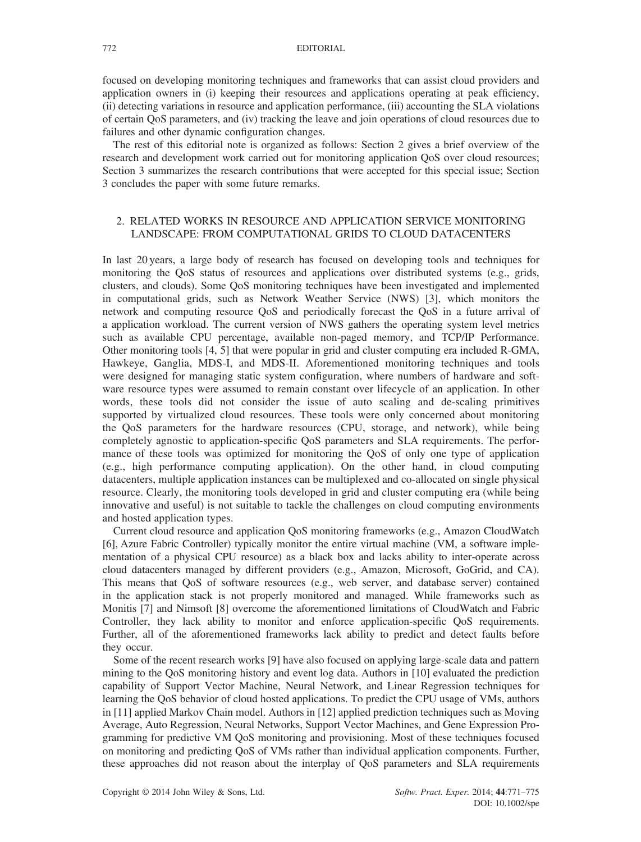focused on developing monitoring techniques and frameworks that can assist cloud providers and application owners in (i) keeping their resources and applications operating at peak efficiency, (ii) detecting variations in resource and application performance, (iii) accounting the SLA violations of certain QoS parameters, and (iv) tracking the leave and join operations of cloud resources due to failures and other dynamic configuration changes.

The rest of this editorial note is organized as follows: Section 2 gives a brief overview of the research and development work carried out for monitoring application QoS over cloud resources; Section 3 summarizes the research contributions that were accepted for this special issue; Section 3 concludes the paper with some future remarks.

### 2. RELATED WORKS IN RESOURCE AND APPLICATION SERVICE MONITORING LANDSCAPE: FROM COMPUTATIONAL GRIDS TO CLOUD DATACENTERS

In last 20 years, a large body of research has focused on developing tools and techniques for monitoring the QoS status of resources and applications over distributed systems (e.g., grids, clusters, and clouds). Some QoS monitoring techniques have been investigated and implemented in computational grids, such as Network Weather Service (NWS) [3], which monitors the network and computing resource QoS and periodically forecast the QoS in a future arrival of a application workload. The current version of NWS gathers the operating system level metrics such as available CPU percentage, available non-paged memory, and TCP/IP Performance. Other monitoring tools [4, 5] that were popular in grid and cluster computing era included R-GMA, Hawkeye, Ganglia, MDS-I, and MDS-II. Aforementioned monitoring techniques and tools were designed for managing static system configuration, where numbers of hardware and software resource types were assumed to remain constant over lifecycle of an application. In other words, these tools did not consider the issue of auto scaling and de-scaling primitives supported by virtualized cloud resources. These tools were only concerned about monitoring the QoS parameters for the hardware resources (CPU, storage, and network), while being completely agnostic to application-specific QoS parameters and SLA requirements. The performance of these tools was optimized for monitoring the QoS of only one type of application (e.g., high performance computing application). On the other hand, in cloud computing datacenters, multiple application instances can be multiplexed and co-allocated on single physical resource. Clearly, the monitoring tools developed in grid and cluster computing era (while being innovative and useful) is not suitable to tackle the challenges on cloud computing environments and hosted application types.

Current cloud resource and application QoS monitoring frameworks (e.g., Amazon CloudWatch [6], Azure Fabric Controller) typically monitor the entire virtual machine (VM, a software implementation of a physical CPU resource) as a black box and lacks ability to inter-operate across cloud datacenters managed by different providers (e.g., Amazon, Microsoft, GoGrid, and CA). This means that QoS of software resources (e.g., web server, and database server) contained in the application stack is not properly monitored and managed. While frameworks such as Monitis [7] and Nimsoft [8] overcome the aforementioned limitations of CloudWatch and Fabric Controller, they lack ability to monitor and enforce application-specific QoS requirements. Further, all of the aforementioned frameworks lack ability to predict and detect faults before they occur.

Some of the recent research works [9] have also focused on applying large-scale data and pattern mining to the QoS monitoring history and event log data. Authors in [10] evaluated the prediction capability of Support Vector Machine, Neural Network, and Linear Regression techniques for learning the QoS behavior of cloud hosted applications. To predict the CPU usage of VMs, authors in [11] applied Markov Chain model. Authors in [12] applied prediction techniques such as Moving Average, Auto Regression, Neural Networks, Support Vector Machines, and Gene Expression Programming for predictive VM QoS monitoring and provisioning. Most of these techniques focused on monitoring and predicting QoS of VMs rather than individual application components. Further, these approaches did not reason about the interplay of QoS parameters and SLA requirements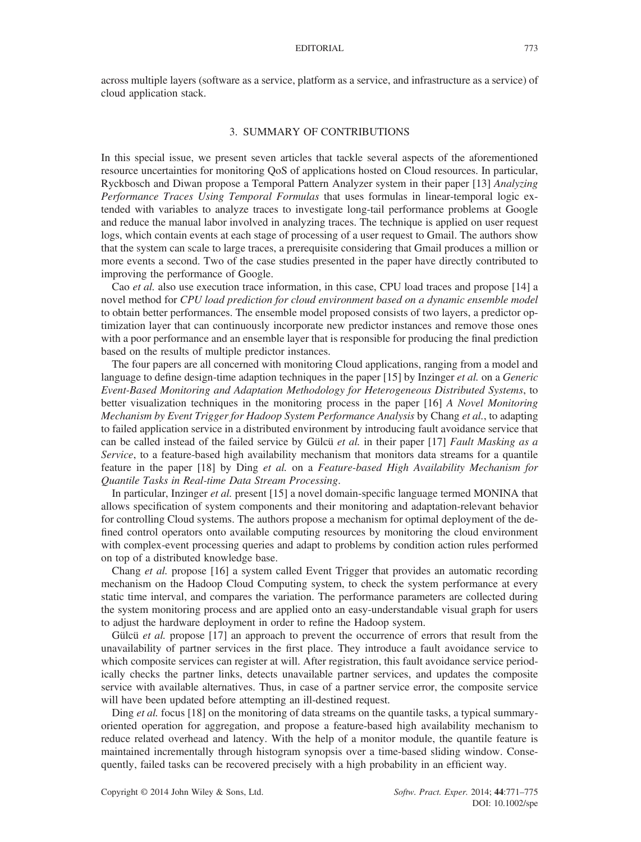across multiple layers (software as a service, platform as a service, and infrastructure as a service) of cloud application stack.

#### 3. SUMMARY OF CONTRIBUTIONS

In this special issue, we present seven articles that tackle several aspects of the aforementioned resource uncertainties for monitoring QoS of applications hosted on Cloud resources. In particular, Ryckbosch and Diwan propose a Temporal Pattern Analyzer system in their paper [13] Analyzing Performance Traces Using Temporal Formulas that uses formulas in linear-temporal logic extended with variables to analyze traces to investigate long-tail performance problems at Google and reduce the manual labor involved in analyzing traces. The technique is applied on user request logs, which contain events at each stage of processing of a user request to Gmail. The authors show that the system can scale to large traces, a prerequisite considering that Gmail produces a million or more events a second. Two of the case studies presented in the paper have directly contributed to improving the performance of Google.

Cao et al. also use execution trace information, in this case, CPU load traces and propose [14] a novel method for CPU load prediction for cloud environment based on a dynamic ensemble model to obtain better performances. The ensemble model proposed consists of two layers, a predictor optimization layer that can continuously incorporate new predictor instances and remove those ones with a poor performance and an ensemble layer that is responsible for producing the final prediction based on the results of multiple predictor instances.

The four papers are all concerned with monitoring Cloud applications, ranging from a model and language to define design-time adaption techniques in the paper [15] by Inzinger *et al.* on a *Generic* Event-Based Monitoring and Adaptation Methodology for Heterogeneous Distributed Systems, to better visualization techniques in the monitoring process in the paper [16] A Novel Monitoring Mechanism by Event Trigger for Hadoop System Performance Analysis by Chang et al., to adapting to failed application service in a distributed environment by introducing fault avoidance service that can be called instead of the failed service by Gülcü et al. in their paper [17] Fault Masking as a Service, to a feature-based high availability mechanism that monitors data streams for a quantile feature in the paper [18] by Ding et al. on a Feature-based High Availability Mechanism for Quantile Tasks in Real-time Data Stream Processing.

In particular, Inzinger et al. present [15] a novel domain-specific language termed MONINA that allows specification of system components and their monitoring and adaptation-relevant behavior for controlling Cloud systems. The authors propose a mechanism for optimal deployment of the defined control operators onto available computing resources by monitoring the cloud environment with complex-event processing queries and adapt to problems by condition action rules performed on top of a distributed knowledge base.

Chang et al. propose [16] a system called Event Trigger that provides an automatic recording mechanism on the Hadoop Cloud Computing system, to check the system performance at every static time interval, and compares the variation. The performance parameters are collected during the system monitoring process and are applied onto an easy-understandable visual graph for users to adjust the hardware deployment in order to refine the Hadoop system.

Gülcü et al. propose [17] an approach to prevent the occurrence of errors that result from the unavailability of partner services in the first place. They introduce a fault avoidance service to which composite services can register at will. After registration, this fault avoidance service periodically checks the partner links, detects unavailable partner services, and updates the composite service with available alternatives. Thus, in case of a partner service error, the composite service will have been updated before attempting an ill-destined request.

Ding *et al.* focus [18] on the monitoring of data streams on the quantile tasks, a typical summaryoriented operation for aggregation, and propose a feature-based high availability mechanism to reduce related overhead and latency. With the help of a monitor module, the quantile feature is maintained incrementally through histogram synopsis over a time-based sliding window. Consequently, failed tasks can be recovered precisely with a high probability in an efficient way.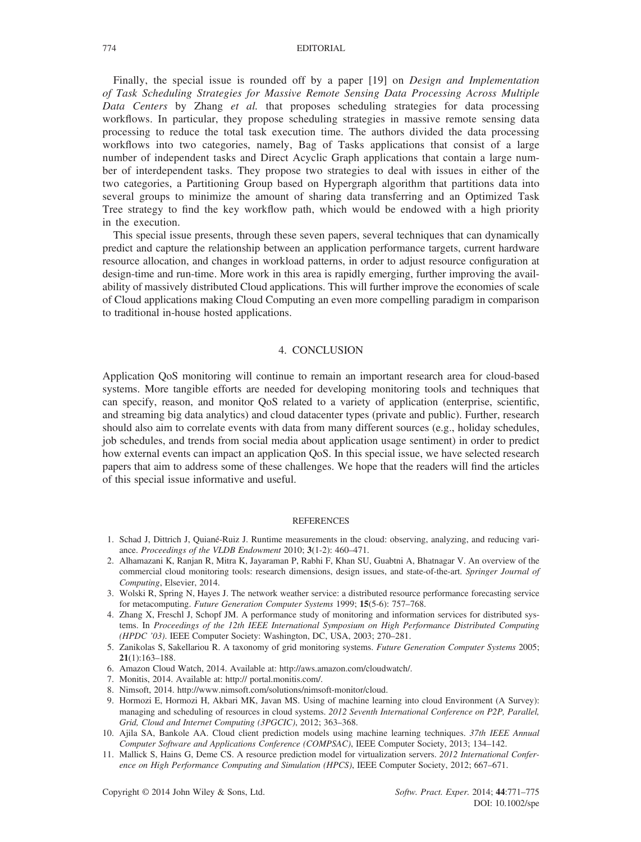Finally, the special issue is rounded off by a paper [19] on *Design and Implementation* of Task Scheduling Strategies for Massive Remote Sensing Data Processing Across Multiple Data Centers by Zhang et al. that proposes scheduling strategies for data processing workflows. In particular, they propose scheduling strategies in massive remote sensing data processing to reduce the total task execution time. The authors divided the data processing workflows into two categories, namely, Bag of Tasks applications that consist of a large number of independent tasks and Direct Acyclic Graph applications that contain a large number of interdependent tasks. They propose two strategies to deal with issues in either of the two categories, a Partitioning Group based on Hypergraph algorithm that partitions data into several groups to minimize the amount of sharing data transferring and an Optimized Task Tree strategy to find the key workflow path, which would be endowed with a high priority in the execution.

This special issue presents, through these seven papers, several techniques that can dynamically predict and capture the relationship between an application performance targets, current hardware resource allocation, and changes in workload patterns, in order to adjust resource configuration at design-time and run-time. More work in this area is rapidly emerging, further improving the availability of massively distributed Cloud applications. This will further improve the economies of scale of Cloud applications making Cloud Computing an even more compelling paradigm in comparison to traditional in-house hosted applications.

#### 4. CONCLUSION

Application QoS monitoring will continue to remain an important research area for cloud-based systems. More tangible efforts are needed for developing monitoring tools and techniques that can specify, reason, and monitor QoS related to a variety of application (enterprise, scientific, and streaming big data analytics) and cloud datacenter types (private and public). Further, research should also aim to correlate events with data from many different sources (e.g., holiday schedules, job schedules, and trends from social media about application usage sentiment) in order to predict how external events can impact an application QoS. In this special issue, we have selected research papers that aim to address some of these challenges. We hope that the readers will find the articles of this special issue informative and useful.

#### REFERENCES

- 1. Schad J, Dittrich J, Quiané-Ruiz J. Runtime measurements in the cloud: observing, analyzing, and reducing variance. Proceedings of the VLDB Endowment 2010; 3(1-2): 460–471.
- 2. Alhamazani K, Ranjan R, Mitra K, Jayaraman P, Rabhi F, Khan SU, Guabtni A, Bhatnagar V. An overview of the commercial cloud monitoring tools: research dimensions, design issues, and state-of-the-art. Springer Journal of Computing, Elsevier, 2014.
- 3. Wolski R, Spring N, Hayes J. The network weather service: a distributed resource performance forecasting service for metacomputing. Future Generation Computer Systems 1999; 15(5-6): 757–768.
- 4. Zhang X, Freschl J, Schopf JM. A performance study of monitoring and information services for distributed systems. In Proceedings of the 12th IEEE International Symposium on High Performance Distributed Computing (HPDC '03). IEEE Computer Society: Washington, DC, USA, 2003; 270–281.
- 5. Zanikolas S, Sakellariou R. A taxonomy of grid monitoring systems. Future Generation Computer Systems 2005; 21(1):163–188.
- 6. Amazon Cloud Watch, 2014. Available at: http://aws.amazon.com/cloudwatch/.
- 7. Monitis, 2014. Available at: http:// portal.monitis.com/.
- 8. Nimsoft, 2014. [http://www.nimsoft.com/solutions/nimsoft-monitor/cloud.](http://www.nimsoft.com/solutions/nimsoft-monitor/cloud)
- 9. Hormozi E, Hormozi H, Akbari MK, Javan MS. Using of machine learning into cloud Environment (A Survey): managing and scheduling of resources in cloud systems. 2012 Seventh International Conference on P2P, Parallel, Grid, Cloud and Internet Computing (3PGCIC), 2012; 363–368.
- 10. Ajila SA, Bankole AA. Cloud client prediction models using machine learning techniques. 37th IEEE Annual Computer Software and Applications Conference (COMPSAC), IEEE Computer Society, 2013; 134–142.
- 11. Mallick S, Hains G, Deme CS. A resource prediction model for virtualization servers. 2012 International Conference on High Performance Computing and Simulation (HPCS), IEEE Computer Society, 2012; 667–671.